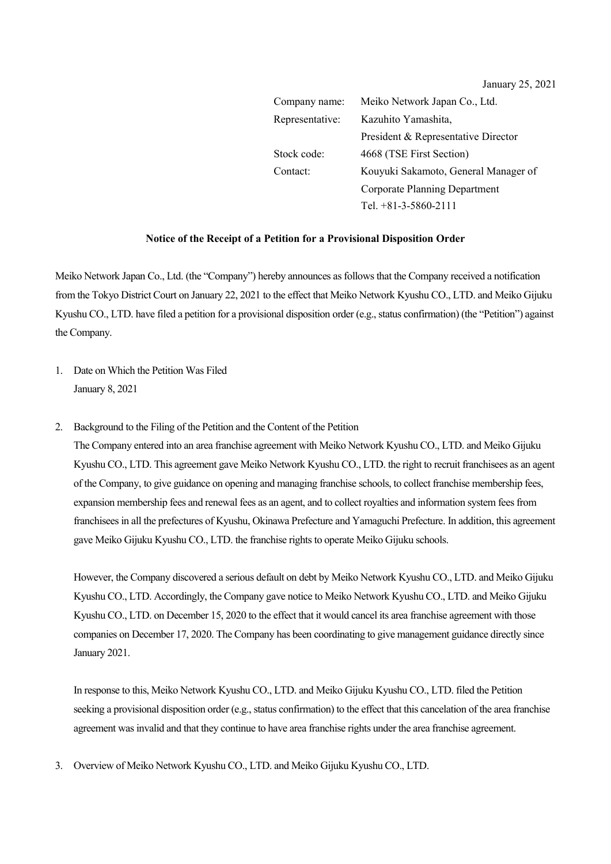January 25, 2021

| Company name:   | Meiko Network Japan Co., Ltd.        |
|-----------------|--------------------------------------|
| Representative: | Kazuhito Yamashita,                  |
|                 | President & Representative Director  |
| Stock code:     | 4668 (TSE First Section)             |
| Contact:        | Kouyuki Sakamoto, General Manager of |
|                 | Corporate Planning Department        |
|                 | Tel. $+81-3-5860-2111$               |

## **Notice of the Receipt of a Petition for a Provisional Disposition Order**

Meiko Network Japan Co., Ltd. (the "Company") hereby announces as followsthat the Company received a notification from the Tokyo District Court on January 22, 2021 to the effect that Meiko Network Kyushu CO., LTD. and Meiko Gijuku Kyushu CO., LTD. have filed a petition for a provisional disposition order (e.g., status confirmation) (the "Petition") against the Company.

- 1. Date on Which the Petition Was Filed January 8, 2021
- 2. Background to the Filing of the Petition and the Content of the Petition

The Company entered into an area franchise agreement with Meiko Network Kyushu CO., LTD. and Meiko Gijuku Kyushu CO., LTD. This agreement gave Meiko Network Kyushu CO., LTD. the right to recruit franchisees as an agent of the Company, to give guidance on opening and managing franchise schools, to collect franchise membership fees, expansion membership fees and renewal fees as an agent, and to collect royalties and information system fees from franchisees in all the prefectures of Kyushu, Okinawa Prefecture and Yamaguchi Prefecture. In addition, this agreement gave Meiko Gijuku Kyushu CO., LTD. the franchise rights to operate Meiko Gijuku schools.

However, the Company discovered a serious default on debt by Meiko Network Kyushu CO., LTD. and Meiko Gijuku Kyushu CO., LTD. Accordingly, the Company gave notice to Meiko Network Kyushu CO., LTD. and Meiko Gijuku Kyushu CO., LTD. on December 15, 2020 to the effect that it would cancel its area franchise agreement with those companies on December 17, 2020. The Company has been coordinating to give management guidance directly since January 2021.

In response to this, Meiko Network Kyushu CO., LTD. and Meiko Gijuku Kyushu CO., LTD. filed the Petition seeking a provisional disposition order (e.g., status confirmation) to the effect that this cancelation of the area franchise agreement was invalid and that they continue to have area franchise rights under the area franchise agreement.

3. Overview of Meiko Network Kyushu CO., LTD. and Meiko Gijuku Kyushu CO., LTD.